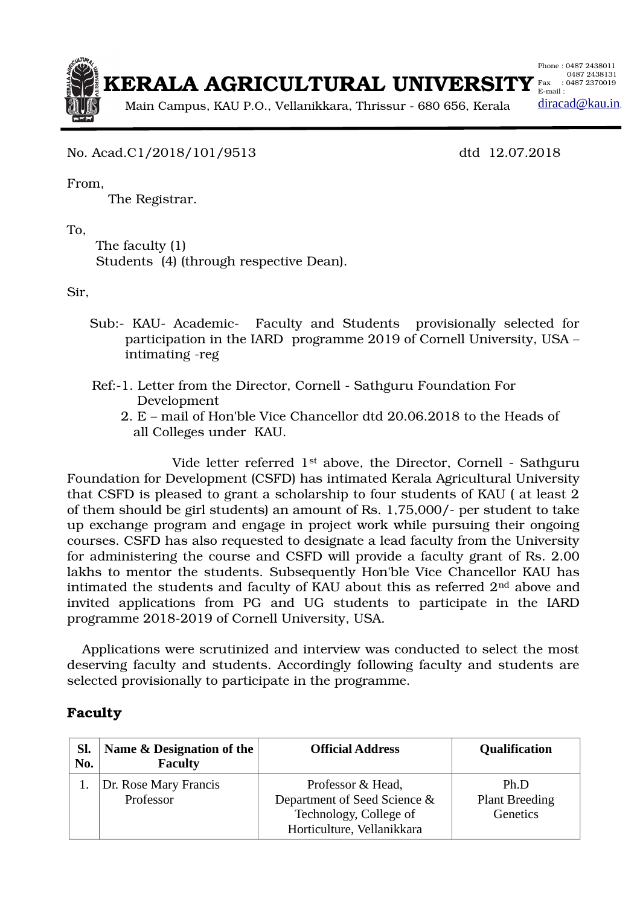

No. Acad.C1/2018/101/9513 dtd 12.07.2018

From,

The Registrar.

To,

 The faculty (1) Students (4) (through respective Dean).

Sir,

- Sub:- KAU- Academic- Faculty and Students provisionally selected for participation in the IARD programme 2019 of Cornell University, USA – intimating -reg
- Ref:-1. Letter from the Director, Cornell Sathguru Foundation For Development
	- 2. E mail of Hon'ble Vice Chancellor dtd 20.06.2018 to the Heads of all Colleges under KAU.

Vide letter referred 1<sup>st</sup> above, the Director, Cornell - Sathguru Foundation for Development (CSFD) has intimated Kerala Agricultural University that CSFD is pleased to grant a scholarship to four students of KAU ( at least 2 of them should be girl students) an amount of Rs. 1,75,000/ per student to take up exchange program and engage in project work while pursuing their ongoing courses. CSFD has also requested to designate a lead faculty from the University for administering the course and CSFD will provide a faculty grant of Rs. 2.00 lakhs to mentor the students. Subsequently Hon'ble Vice Chancellor KAU has intimated the students and faculty of KAU about this as referred 2nd above and invited applications from PG and UG students to participate in the IARD programme 2018-2019 of Cornell University, USA.

 Applications were scrutinized and interview was conducted to select the most deserving faculty and students. Accordingly following faculty and students are selected provisionally to participate in the programme.

## **Faculty**

| SI.<br>No. | Name & Designation of the<br><b>Faculty</b> | <b>Official Address</b>                                                                                   | <b>Qualification</b>                             |
|------------|---------------------------------------------|-----------------------------------------------------------------------------------------------------------|--------------------------------------------------|
|            | Dr. Rose Mary Francis<br>Professor          | Professor & Head,<br>Department of Seed Science &<br>Technology, College of<br>Horticulture, Vellanikkara | Ph.D<br><b>Plant Breeding</b><br><b>Genetics</b> |